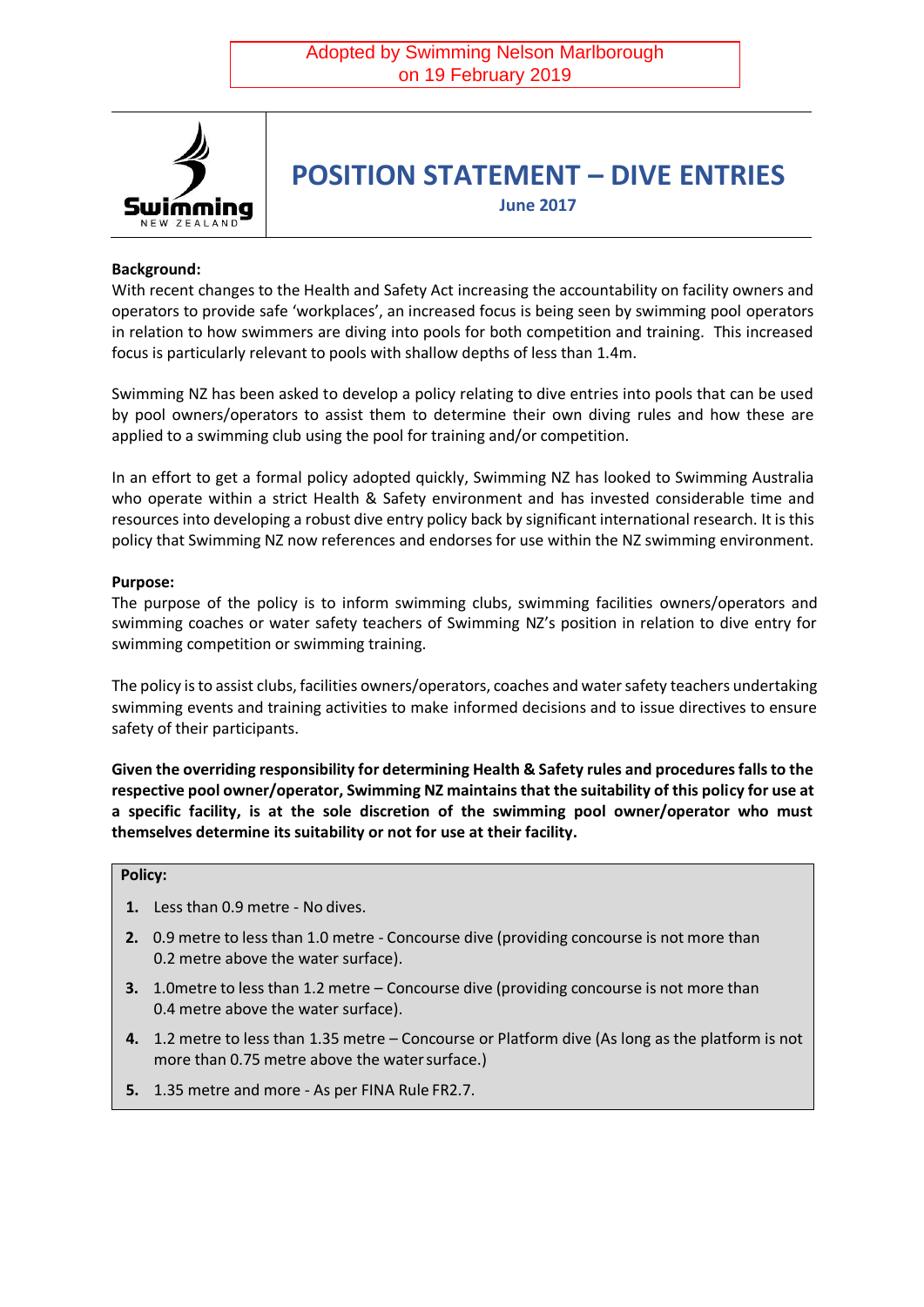

# **POSITION STATEMENT – DIVE ENTRIES**

**June 2017**

### **Background:**

With recent changes to the Health and Safety Act increasing the accountability on facility owners and operators to provide safe 'workplaces', an increased focus is being seen by swimming pool operators in relation to how swimmers are diving into pools for both competition and training. This increased focus is particularly relevant to pools with shallow depths of less than 1.4m.

Swimming NZ has been asked to develop a policy relating to dive entries into pools that can be used by pool owners/operators to assist them to determine their own diving rules and how these are applied to a swimming club using the pool for training and/or competition.

In an effort to get a formal policy adopted quickly, Swimming NZ has looked to Swimming Australia who operate within a strict Health & Safety environment and has invested considerable time and resources into developing a robust dive entry policy back by significant international research. It is this policy that Swimming NZ now references and endorses for use within the NZ swimming environment.

#### **Purpose:**

The purpose of the policy is to inform swimming clubs, swimming facilities owners/operators and swimming coaches or water safety teachers of Swimming NZ's position in relation to dive entry for swimming competition or swimming training.

The policy is to assist clubs, facilities owners/operators, coaches and water safety teachers undertaking swimming events and training activities to make informed decisions and to issue directives to ensure safety of their participants.

**Given the overriding responsibility for determining Health & Safety rules and procedures falls to the respective pool owner/operator, Swimming NZ maintains that the suitability of this policy for use at a specific facility, is at the sole discretion of the swimming pool owner/operator who must themselves determine its suitability or not for use at their facility.** 

#### **Policy:**

- **1.** Less than 0.9 metre No dives.
- **2.** 0.9 metre to less than 1.0 metre Concourse dive (providing concourse is not more than 0.2 metre above the water surface).
- **3.** 1.0metre to less than 1.2 metre Concourse dive (providing concourse is not more than 0.4 metre above the water surface).
- **4.** 1.2 metre to less than 1.35 metre Concourse or Platform dive (As long as the platform is not more than 0.75 metre above the water surface.)
- **5.** 1.35 metre and more As per FINA Rule FR2.7.